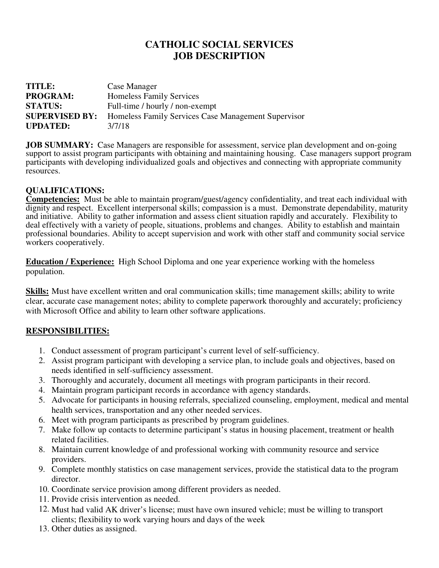## **CATHOLIC SOCIAL SERVICES JOB DESCRIPTION**

| <b>TITLE:</b>         | Case Manager                                        |
|-----------------------|-----------------------------------------------------|
| <b>PROGRAM:</b>       | <b>Homeless Family Services</b>                     |
| <b>STATUS:</b>        | Full-time / hourly / non-exempt                     |
| <b>SUPERVISED BY:</b> | Homeless Family Services Case Management Supervisor |
| <b>UPDATED:</b>       | 3/7/18                                              |

**JOB SUMMARY:** Case Managers are responsible for assessment, service plan development and on-going support to assist program participants with obtaining and maintaining housing. Case managers support program participants with developing individualized goals and objectives and connecting with appropriate community resources.

## **QUALIFICATIONS:**

**Competencies:** Must be able to maintain program/guest/agency confidentiality, and treat each individual with dignity and respect. Excellent interpersonal skills; compassion is a must. Demonstrate dependability, maturity and initiative. Ability to gather information and assess client situation rapidly and accurately. Flexibility to deal effectively with a variety of people, situations, problems and changes. Ability to establish and maintain professional boundaries. Ability to accept supervision and work with other staff and community social service workers cooperatively.

**Education / Experience:** High School Diploma and one year experience working with the homeless population.

**Skills:** Must have excellent written and oral communication skills; time management skills; ability to write clear, accurate case management notes; ability to complete paperwork thoroughly and accurately; proficiency with Microsoft Office and ability to learn other software applications.

## **RESPONSIBILITIES:**

- 1. Conduct assessment of program participant's current level of self-sufficiency.
- 2. Assist program participant with developing a service plan, to include goals and objectives, based on needs identified in self-sufficiency assessment.
- 3. Thoroughly and accurately, document all meetings with program participants in their record.
- 4. Maintain program participant records in accordance with agency standards.
- 5. Advocate for participants in housing referrals, specialized counseling, employment, medical and mental health services, transportation and any other needed services.
- 6. Meet with program participants as prescribed by program guidelines.
- 7. Make follow up contacts to determine participant's status in housing placement, treatment or health related facilities.
- 8. Maintain current knowledge of and professional working with community resource and service providers.
- 9. Complete monthly statistics on case management services, provide the statistical data to the program director.
- 10. Coordinate service provision among different providers as needed.
- 11. Provide crisis intervention as needed.
- 12. Must had valid AK driver's license; must have own insured vehicle; must be willing to transport clients; flexibility to work varying hours and days of the week
- 13. Other duties as assigned.